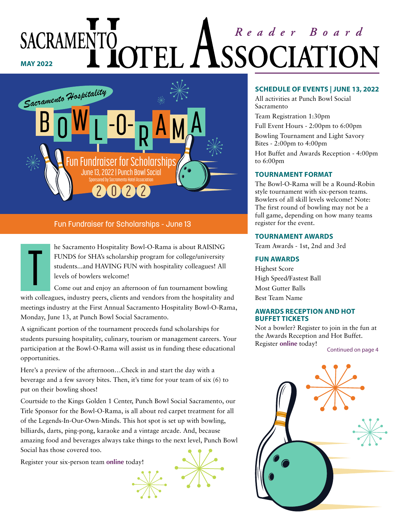### Reader Board SACRAMENTO 'EL / *SSOCIATIC* **MAY 2022**



#### Fun Fundraiser for Scholarships - June 13

he Sacramento Hospitality Bowl-O-Rama is about RAISING FUNDS for SHA's scholarship program for college/university students...and HAVING FUN with hospitality colleagues! All levels of bowlers welcome!

Come out and enjoy an afternoon of fun tournament bowling with colleagues, industry peers, clients and vendors from the hospitality and meetings industry at the First Annual Sacramento Hospitality Bowl-O-Rama, Monday, June 13, at Punch Bowl Social Sacramento. T

A significant portion of the tournament proceeds fund scholarships for students pursuing hospitality, culinary, tourism or management careers. Your participation at the Bowl-O-Rama will assist us in funding these educational opportunities.

Here's a preview of the afternoon…Check in and start the day with a beverage and a few savory bites. Then, it's time for your team of six (6) to put on their bowling shoes!

Courtside to the Kings Golden 1 Center, Punch Bowl Social Sacramento, our Title Sponsor for the Bowl-O-Rama, is all about red carpet treatment for all of the Legends-In-Our-Own-Minds. This hot spot is set up with bowling, billiards, darts, ping-pong, karaoke and a vintage arcade. And, because amazing food and beverages always take things to the next level, Punch Bowl Social has those covered too.

Register your six-person team **[online](https://sacramentohotelassociation.com/index.php/forms/bowlorama-tournament)** today!



#### **SCHEDULE OF EVENTS | JUNE 13, 2022**

All activities at Punch Bowl Social Sacramento

Team Registration 1:30pm

Full Event Hours - 2:00pm to 6:00pm

Bowling Tournament and Light Savory Bites - 2:00pm to 4:00pm

Hot Buffet and Awards Reception - 4:00pm to 6:00pm

#### **TOURNAMENT FORMAT**

The Bowl-O-Rama will be a Round-Robin style tournament with six-person teams. Bowlers of all skill levels welcome! Note: The first round of bowling may not be a full game, depending on how many teams register for the event.

#### **TOURNAMENT AWARDS**

Team Awards - 1st, 2nd and 3rd

#### **FUN AWARDS**

Highest Score High Speed/Fastest Ball Most Gutter Balls Best Team Name

#### **AWARDS RECEPTION AND HOT BUFFET TICKETS**

Not a bowler? Register to join in the fun at the Awards Reception and Hot Buffet. Register **[online](https://sacramentohotelassociation.com/index.php/forms/bowlorama-tournament)** today!

Continued on page 4

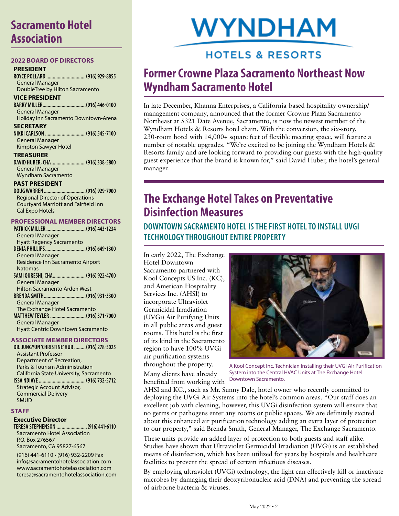### **Sacramento Hotel Association**

#### **2022 BOARD OF DIRECTORS**

#### **PRESIDENT**

**ROYCE POLLARD ...............................(916) 929-8855**  General Manager DoubleTree by Hilton Sacramento

#### **VICE PRESIDENT**

**BARRY MILLER..................................(916) 446-0100** General Manager Holiday Inn Sacramento Downtown-Arena

#### **SECRETARY**

**NIKKI CARLSON ................................(916) 545-7100** General Manager Kimpton Sawyer Hotel

**TREASURER DAVID HUBER, CHA ...........................(916) 338-5800** 

General Manager Wyndham Sacramento

#### **PAST PRESIDENT**

**DOUG WARREN .................................(916) 929-7900**  Regional Director of Operations Courtyard Marriott and Fairfield Inn Cal Expo Hotels

#### **PROFESSIONAL MEMBER DIRECTORS**

**PATRICK MILLER ...............................(916) 443-1234**  General Manager Hyatt Regency Sacramento **DENIA PHILLIPS................................(916) 649-1300**  General Manager Residence Inn Sacramento Airport Natomas **SAMI QURESHI, CHA..........................(916) 922-4700**  General Manager Hilton Sacramento Arden West **BRENDA SMITH.................................(916) 931-3300**  General Manager The Exchange Hotel Sacramento **MATTHEW TEYLER ............................(916) 371-7000**  General Manager Hyatt Centric Downtown Sacramento

#### **ASSOCIATE MEMBER DIRECTORS**

**DR. JUNGYUN 'CHRISTINE' HUR .........(916) 278-5025** Assistant Professor Department of Recreation, Parks & Tourism Administration California State University, Sacramento **ISSA NDIAYE.....................................(916) 732-5712**  Strategic Account Advisor, Commercial Delivery SMUD

#### **STAFF**

#### **Executive Director**

**TERESA STEPHENSON ........................(916) 441-6110** Sacramento Hotel Association P.O. Box 276567 Sacramento, CA 95827-6567

(916) 441-6110 • (916) 932-2209 Fax [info@sacramentohotelassociation.com](http://www.sacramentohotelassociation.com) [www.sacramentohotelassociation.com](http://www.sacramentohotelassociation.com) teresa@sacramentohotelassociation.com

# **WYNDHAM**

### **HOTELS & RESORTS**

### **Former Crowne Plaza Sacramento Northeast Now Wyndham Sacramento Hotel**

In late December, Khanna Enterprises, a California-based hospitality ownership/ management company, announced that the former Crowne Plaza Sacramento Northeast at 5321 Date Avenue, Sacramento, is now the newest member of the Wyndham Hotels & Resorts hotel chain. With the conversion, the six-story, 230-room hotel with 14,000+ square feet of flexible meeting space, will feature a number of notable upgrades. "We're excited to be joining the Wyndham Hotels & Resorts family and are looking forward to providing our guests with the high-quality guest experience that the brand is known for," said David Huber, the hotel's general manager.

### **The Exchange Hotel Takes on Preventative Disinfection Measures**

#### **DOWNTOWN SACRAMENTO HOTEL IS THE FIRST HOTEL TO INSTALL UVGI TECHNOLOGY THROUGHOUT ENTIRE PROPERTY**

In early 2022, The Exchange Hotel Downtown Sacramento partnered with Kool Concepts US Inc. (KC), and American Hospitality Services Inc. (AHSI) to incorporate Ultraviolet Germicidal Irradiation (UVGi) Air Purifying Units in all public areas and guest rooms. This hotel is the first of its kind in the Sacramento region to have 100% UVGi air purification systems throughout the property.

Many clients have already benefited from working with



A Kool Concept Inc. Technician Installing their UVGi Air Purification System into the Central HVAC Units at The Exchange Hotel Downtown Sacramento.

AHSI and KC., such as Mr. Sunny Dale, hotel owner who recently committed to deploying the UVGi Air Systems into the hotel's common areas. "Our staff does an excellent job with cleaning, however, this UVGi disinfection system will ensure that no germs or pathogens enter any rooms or public spaces. We are definitely excited about this enhanced air purification technology adding an extra layer of protection to our property," said Brenda Smith, General Manager, The Exchange Sacramento.

These units provide an added layer of protection to both guests and staff alike. Studies have shown that Ultraviolet Germicidal Irradiation (UVGi) is an established means of disinfection, which has been utilized for years by hospitals and healthcare facilities to prevent the spread of certain infectious diseases.

By employing ultraviolet (UVGi) technology, the light can effectively kill or inactivate microbes by damaging their deoxyribonucleic acid (DNA) and preventing the spread of airborne bacteria & viruses.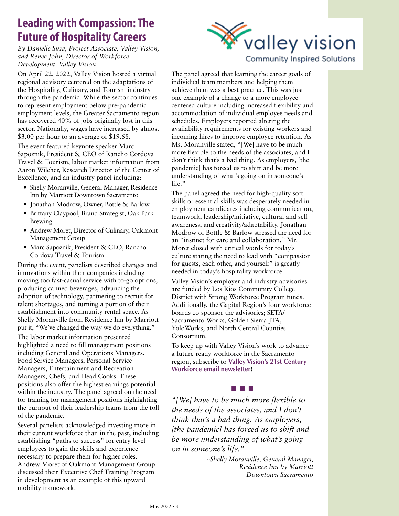### **Leading with Compassion: The Future of Hospitality Careers**

*By Danielle Susa, Project Associate, Valley Vision, and Renee John, Director of Workforce Development, Valley Vision*

On April 22, 2022, Valley Vision hosted a virtual regional advisory centered on the adaptations of the Hospitality, Culinary, and Tourism industry through the pandemic. While the sector continues to represent employment below pre-pandemic employment levels, the Greater Sacramento region has recovered 40% of jobs originally lost in this sector. Nationally, wages have increased by almost \$3.00 per hour to an average of \$19.68.

The event featured keynote speaker Marc Sapoznik, President & CEO of Rancho Cordova Travel & Tourism, labor market information from Aaron Wilcher, Research Director of the Center of Excellence, and an industry panel including:

- Shelly Moranville, General Manager, Residence Inn by Marriott Downtown Sacramento
- Jonathan Modrow, Owner, Bottle & Barlow
- Brittany Claypool, Brand Strategist, Oak Park Brewing
- Andrew Moret, Director of Culinary, Oakmont Management Group
- Marc Sapoznik, President & CEO, Rancho Cordova Travel & Tourism

During the event, panelists described changes and innovations within their companies including moving too fast-casual service with to-go options, producing canned beverages, advancing the adoption of technology, partnering to recruit for talent shortages, and turning a portion of their establishment into community rental space. As Shelly Moranville from Residence Inn by Marriott put it, "We've changed the way we do everything."

The labor market information presented highlighted a need to fill management positions including General and Operations Managers, Food Service Managers, Personal Service Managers, Entertainment and Recreation Managers, Chefs, and Head Cooks. These positions also offer the highest earnings potential within the industry. The panel agreed on the need for training for management positions highlighting the burnout of their leadership teams from the toll of the pandemic.

Several panelists acknowledged investing more in their current workforce than in the past, including establishing "paths to success" for entry-level employees to gain the skills and experience necessary to prepare them for higher roles. Andrew Moret of Oakmont Management Group discussed their Executive Chef Training Program in development as an example of this upward mobility framework.



#### **Community Inspired Solutions**

The panel agreed that learning the career goals of individual team members and helping them achieve them was a best practice. This was just one example of a change to a more employeecentered culture including increased flexibility and accommodation of individual employee needs and schedules. Employers reported altering the availability requirements for existing workers and incoming hires to improve employee retention. As Ms. Moranville stated, "[We] have to be much more flexible to the needs of the associates, and I don't think that's a bad thing. As employers, [the pandemic] has forced us to shift and be more understanding of what's going on in someone's life."

The panel agreed the need for high-quality soft skills or essential skills was desperately needed in employment candidates including communication, teamwork, leadership/initiative, cultural and selfawareness, and creativity/adaptability. Jonathan Modrow of Bottle & Barlow stressed the need for an "instinct for care and collaboration." Mr. Moret closed with critical words for today's culture stating the need to lead with "compassion for guests, each other, and yourself" is greatly needed in today's hospitality workforce.

Valley Vision's employer and industry advisories are funded by Los Rios Community College District with Strong Workforce Program funds. Additionally, the Capital Region's four workforce boards co-sponsor the advisories; SETA/ Sacramento Works, Golden Sierra JTA, YoloWorks, and North Central Counties Consortium.

To keep up with Valley Vision's work to advance a future-ready workforce in the Sacramento region, subscribe to **[Valley Vision's 21st Century](https://valleyvision.us16.list-manage.com/subscribe?u=1d8421bee454083d0270343ac&id=388e61bb65)  [Workforce email newsletter](https://valleyvision.us16.list-manage.com/subscribe?u=1d8421bee454083d0270343ac&id=388e61bb65)**!

#### n n n

*"[We] have to be much more flexible to the needs of the associates, and I don't think that's a bad thing. As employers, [the pandemic] has forced us to shift and be more understanding of what's going on in someone's life."*

> *~Shelly Moranville, General Manager, Residence Inn by Marriott Downtown Sacramento*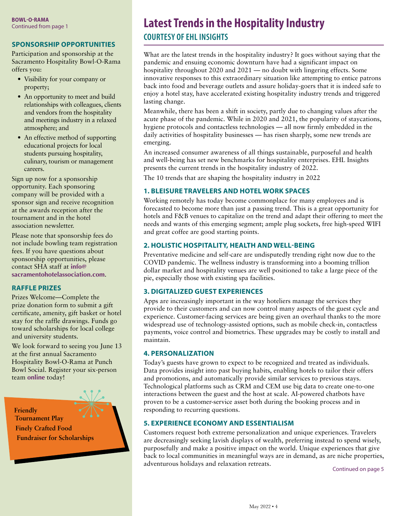#### **SPONSORSHIP OPPORTUNITIES**

Participation and sponsorship at the Sacramento Hospitality Bowl-O-Rama offers you:

- Visibility for your company or property;
- An opportunity to meet and build relationships with colleagues, clients and vendors from the hospitality and meetings industry in a relaxed atmosphere; and
- An effective method of supporting educational projects for local students pursuing hospitality, culinary, tourism or management careers.

Sign up now for a sponsorship opportunity. Each sponsoring company will be provided with a sponsor sign and receive recognition at the awards reception after the tournament and in the hotel association newsletter.

Please note that sponsorship fees do not include bowling team registration fees. If you have questions about sponsorship opportunities, please contact SHA staff at **[info@](mailto:info@sacramentohotelassociation.com) [sacramentohotelassociation.com](mailto:info@sacramentohotelassociation.com)**.

#### **RAFFLE PRIZES**

Prizes Welcome—Complete the prize donation form to submit a gift certificate, amenity, gift basket or hotel stay for the raffle drawings. Funds go toward scholarships for local college and university students.

We look forward to seeing you June 13 at the first annual Sacramento Hospitality Bowl-O-Rama at Punch Bowl Social. Register your six-person team **[online](https://sacramentohotelassociation.com/index.php/forms/bowlorama-tournament)** today!

**Friendly Tournament Play Finely Crafted Food Fundraiser for Scholarships** 

## BOWL-O-RAMA<br>Continued from page 1 **Latest Trends in the Hospitality Industry**

**COURTESY OF EHL INSIGHTS** 

What are the latest trends in the hospitality industry? It goes without saying that the pandemic and ensuing economic downturn have had a significant impact on hospitality throughout 2020 and 2021 — no doubt with lingering effects. Some innovative responses to this extraordinary situation like attempting to entice patrons back into food and beverage outlets and assure holiday-goers that it is indeed safe to enjoy a hotel stay, have accelerated existing hospitality industry trends and triggered lasting change.

Meanwhile, there has been a shift in society, partly due to changing values after the acute phase of the pandemic. While in 2020 and 2021, the popularity of staycations, hygiene protocols and contactless technologies — all now firmly embedded in the daily activities of hospitality businesses — has risen sharply, some new trends are emerging.

An increased consumer awareness of all things sustainable, purposeful and health and well-being has set new benchmarks for hospitality enterprises. EHL Insights presents the current trends in the hospitality industry of 2022.

The 10 trends that are shaping the hospitality industry in 2022

#### **1. BLEISURE TRAVELERS AND HOTEL WORK SPACES**

Working remotely has today become commonplace for many employees and is forecasted to become more than just a passing trend. This is a great opportunity for hotels and F&B venues to capitalize on the trend and adapt their offering to meet the needs and wants of this emerging segment; ample plug sockets, free high-speed WIFI and great coffee are good starting points.

#### **2. HOLISTIC HOSPITALITY, HEALTH AND WELL-BEING**

Preventative medicine and self-care are undisputedly trending right now due to the COVID pandemic. The wellness industry is transforming into a booming trillion dollar market and hospitality venues are well positioned to take a large piece of the pie, especially those with existing spa facilities.

#### **3. DIGITALIZED GUEST EXPERIENCES**

Apps are increasingly important in the way hoteliers manage the services they provide to their customers and can now control many aspects of the guest cycle and experience. Customer-facing services are being given an overhaul thanks to the more widespread use of technology-assisted options, such as mobile check-in, contactless payments, voice control and biometrics. These upgrades may be costly to install and maintain.

#### **4. PERSONALIZATION**

Today's guests have grown to expect to be recognized and treated as individuals. Data provides insight into past buying habits, enabling hotels to tailor their offers and promotions, and automatically provide similar services to previous stays. Technological platforms such as CRM and CEM use big data to create one-to-one interactions between the guest and the host at scale. AI-powered chatbots have proven to be a customer-service asset both during the booking process and in responding to recurring questions.

#### **5. EXPERIENCE ECONOMY AND ESSENTIALISM**

Customers request both extreme personalization and unique experiences. Travelers are decreasingly seeking lavish displays of wealth, preferring instead to spend wisely, purposefully and make a positive impact on the world. Unique experiences that give back to local communities in meaningful ways are in demand, as are niche properties, adventurous holidays and relaxation retreats. Continued on page 5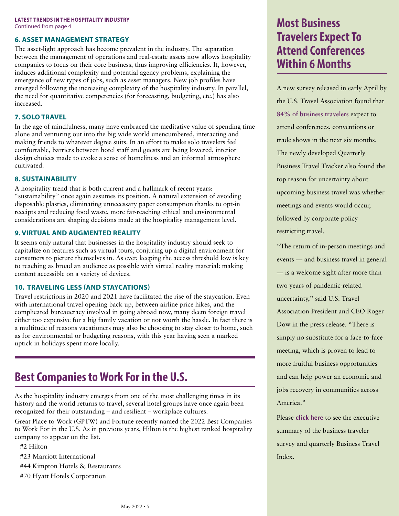#### **LATEST TRENDS IN THE HOSPITALITY INDUSTRY** Continued from page 4

#### **6. ASSET MANAGEMENT STRATEGY**

The asset-light approach has become prevalent in the industry. The separation between the management of operations and real-estate assets now allows hospitality companies to focus on their core business, thus improving efficiencies. It, however, induces additional complexity and potential agency problems, explaining the emergence of new types of jobs, such as asset managers. New job profiles have emerged following the increasing complexity of the hospitality industry. In parallel, the need for quantitative competencies (for forecasting, budgeting, etc.) has also increased.

#### **7. SOLO TRAVEL**

In the age of mindfulness, many have embraced the meditative value of spending time alone and venturing out into the big wide world unencumbered, interacting and making friends to whatever degree suits. In an effort to make solo travelers feel comfortable, barriers between hotel staff and guests are being lowered, interior design choices made to evoke a sense of homeliness and an informal atmosphere cultivated.

#### **8. SUSTAINABILITY**

A hospitality trend that is both current and a hallmark of recent years: "sustainability" once again assumes its position. A natural extension of avoiding disposable plastics, eliminating unnecessary paper consumption thanks to opt-in receipts and reducing food waste, more far-reaching ethical and environmental considerations are shaping decisions made at the hospitality management level.

#### **9. VIRTUAL AND AUGMENTED REALITY**

It seems only natural that businesses in the hospitality industry should seek to capitalize on features such as virtual tours, conjuring up a digital environment for consumers to picture themselves in. As ever, keeping the access threshold low is key to reaching as broad an audience as possible with virtual reality material: making content accessible on a variety of devices.

#### **10. TRAVELING LESS (AND STAYCATIONS)**

Travel restrictions in 2020 and 2021 have facilitated the rise of the staycation. Even with international travel opening back up, between airline price hikes, and the complicated bureaucracy involved in going abroad now, many deem foreign travel either too expensive for a big family vacation or not worth the hassle. In fact there is a multitude of reasons vacationers may also be choosing to stay closer to home, such as for environmental or budgeting reasons, with this year having seen a marked uptick in holidays spent more locally.

### **Best Companies to Work For in the U.S.**

As the hospitality industry emerges from one of the most challenging times in its history and the world returns to travel, several hotel groups have once again been recognized for their outstanding – and resilient – workplace cultures.

Great Place to Work (GPTW) and Fortune recently named the 2022 Best Companies to Work For in the U.S. As in previous years, Hilton is the highest ranked hospitality company to appear on the list.

#2 Hilton

- #23 Marriott International
- #44 Kimpton Hotels & Restaurants
- #70 Hyatt Hotels Corporation

### **Most Business Travelers Expect To Attend Conferences Within 6 Months**

A new survey released in early April by the U.S. Travel Association found that **[84% of business travelers](https://www.ustravel.org/press/survey-84-business-travelers-expect-attend-conferences-conventions-or-trade-shows-next-six)** expect to attend conferences, conventions or trade shows in the next six months. The newly developed Quarterly Business Travel Tracker also found the top reason for uncertainty about upcoming business travel was whether meetings and events would occur, followed by corporate policy restricting travel.

"The return of in-person meetings and events — and business travel in general — is a welcome sight after more than two years of pandemic-related uncertainty," said U.S. Travel Association President and CEO Roger Dow in the press release. "There is simply no substitute for a face-to-face meeting, which is proven to lead to more fruitful business opportunities and can help power an economic and jobs recovery in communities across America."

Please **[click here](https://www.ustravel.org/sites/default/files/2022-04/business_travel_tracker_2022q1_exec_summary_5apr2022.pdf)** to see the executive summary of the business traveler survey and quarterly Business Travel Index.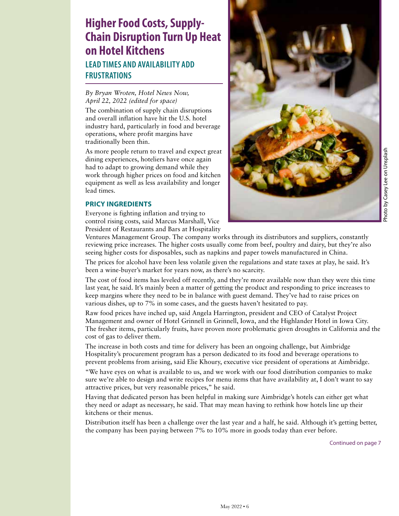### **Higher Food Costs, Supply-Chain Disruption Turn Up Heat on Hotel Kitchens LEAD TIMES AND AVAILABILITY ADD FRUSTRATIONS**

#### *By Bryan Wroten, Hotel News Now, April 22, 2022 (edited for space)*

The combination of supply chain disruptions and overall inflation have hit the U.S. hotel industry hard, particularly in food and beverage operations, where profit margins have traditionally been thin.

As more people return to travel and expect great dining experiences, hoteliers have once again had to adapt to growing demand while they work through higher prices on food and kitchen equipment as well as less availability and longer lead times.

#### **PRICY INGREDIENTS**

Everyone is fighting inflation and trying to control rising costs, said Marcus Marshall, Vice President of Restaurants and Bars at Hospitality



Ventures Management Group. The company works through its distributors and suppliers, constantly reviewing price increases. The higher costs usually come from beef, poultry and dairy, but they're also seeing higher costs for disposables, such as napkins and paper towels manufactured in China.

The prices for alcohol have been less volatile given the regulations and state taxes at play, he said. It's been a wine-buyer's market for years now, as there's no scarcity.

The cost of food items has leveled off recently, and they're more available now than they were this time last year, he said. It's mainly been a matter of getting the product and responding to price increases to keep margins where they need to be in balance with guest demand. They've had to raise prices on various dishes, up to 7% in some cases, and the guests haven't hesitated to pay.

Raw food prices have inched up, said Angela Harrington, president and CEO of Catalyst Project Management and owner of Hotel Grinnell in Grinnell, Iowa, and the Highlander Hotel in Iowa City. The fresher items, particularly fruits, have proven more problematic given droughts in California and the cost of gas to deliver them.

The increase in both costs and time for delivery has been an ongoing challenge, but Aimbridge Hospitality's procurement program has a person dedicated to its food and beverage operations to prevent problems from arising, said Elie Khoury, executive vice president of operations at Aimbridge.

"We have eyes on what is available to us, and we work with our food distribution companies to make sure we're able to design and write recipes for menu items that have availability at, I don't want to say attractive prices, but very reasonable prices," he said.

Having that dedicated person has been helpful in making sure Aimbridge's hotels can either get what they need or adapt as necessary, he said. That may mean having to rethink how hotels line up their kitchens or their menus.

Distribution itself has been a challenge over the last year and a half, he said. Although it's getting better, the company has been paying between 7% to 10% more in goods today than ever before.

Continued on page 7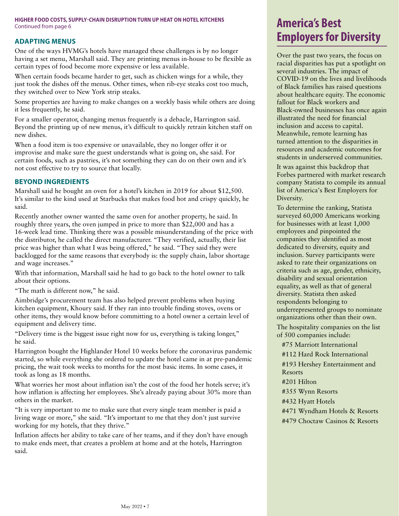### **HIGHER FOOD COSTS, SUPPLY-CHAIN DISRUPTION TURN UP HEAT ON HOTEL KITCHENS** Continued from page 6 **America's Best**

#### **ADAPTING MENUS**

One of the ways HVMG's hotels have managed these challenges is by no longer having a set menu, Marshall said. They are printing menus in-house to be flexible as certain types of food become more expensive or less available.

When certain foods became harder to get, such as chicken wings for a while, they just took the dishes off the menus. Other times, when rib-eye steaks cost too much, they switched over to New York strip steaks.

Some properties are having to make changes on a weekly basis while others are doing it less frequently, he said.

For a smaller operator, changing menus frequently is a debacle, Harrington said. Beyond the printing up of new menus, it's difficult to quickly retrain kitchen staff on new dishes.

When a food item is too expensive or unavailable, they no longer offer it or improvise and make sure the guest understands what is going on, she said. For certain foods, such as pastries, it's not something they can do on their own and it's not cost effective to try to source that locally.

#### **BEYOND INGREDIENTS**

Marshall said he bought an oven for a hotel's kitchen in 2019 for about \$12,500. It's similar to the kind used at Starbucks that makes food hot and crispy quickly, he said.

Recently another owner wanted the same oven for another property, he said. In roughly three years, the oven jumped in price to more than \$22,000 and has a 16-week lead time. Thinking there was a possible misunderstanding of the price with the distributor, he called the direct manufacturer. "They verified, actually, their list price was higher than what I was being offered," he said. "They said they were backlogged for the same reasons that everybody is: the supply chain, labor shortage and wage increases."

With that information, Marshall said he had to go back to the hotel owner to talk about their options.

"The math is different now," he said.

Aimbridge's procurement team has also helped prevent problems when buying kitchen equipment, Khoury said. If they ran into trouble finding stoves, ovens or other items, they would know before committing to a hotel owner a certain level of equipment and delivery time.

"Delivery time is the biggest issue right now for us, everything is taking longer," he said.

Harrington bought the Highlander Hotel 10 weeks before the coronavirus pandemic started, so while everything she ordered to update the hotel came in at pre-pandemic pricing, the wait took weeks to months for the most basic items. In some cases, it took as long as 18 months.

What worries her most about inflation isn't the cost of the food her hotels serve; it's how inflation is affecting her employees. She's already paying about 30% more than others in the market.

"It is very important to me to make sure that every single team member is paid a living wage or more," she said. "It's important to me that they don't just survive working for my hotels, that they thrive."

Inflation affects her ability to take care of her teams, and if they don't have enough to make ends meet, that creates a problem at home and at the hotels, Harrington said.

## **Employers for Diversity**

Over the past two years, the focus on racial disparities has put a spotlight on several industries. The impact of COVID-19 on the lives and livelihoods of Black families has raised questions about healthcare equity. The economic fallout for Black workers and Black-owned businesses has once again illustrated the need for financial inclusion and access to capital. Meanwhile, remote learning has turned attention to the disparities in resources and academic outcomes for students in underserved communities.

It was against this backdrop that Forbes partnered with market research company Statista to compile its annual list of America's Best Employers for Diversity.

To determine the ranking, Statista surveyed 60,000 Americans working for businesses with at least 1,000 employees and pinpointed the companies they identified as most dedicated to diversity, equity and inclusion. Survey participants were asked to rate their organizations on criteria such as age, gender, ethnicity, disability and sexual orientation equality, as well as that of general diversity. Statista then asked respondents belonging to underrepresented groups to nominate organizations other than their own.

The hospitality companies on the list of 500 companies include:

#75 Marriott International

#112 Hard Rock International

#193 Hershey Entertainment and Resorts

#201 Hilton

#355 Wynn Resorts

#432 Hyatt Hotels

#471 Wyndham Hotels & Resorts

#479 Choctaw Casinos & Resorts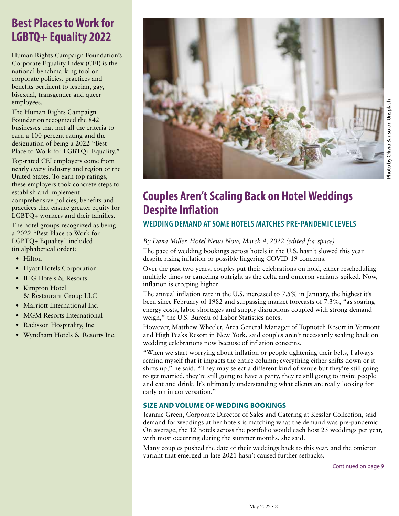### **Best Places to Work for LGBTQ+ Equality 2022**

Human Rights Campaign Foundation's Corporate Equality Index (CEI) is the national benchmarking tool on corporate policies, practices and benefits pertinent to lesbian, gay, bisexual, transgender and queer employees.

The Human Rights Campaign Foundation recognized the 842 businesses that met all the criteria to earn a 100 percent rating and the designation of being a 2022 "Best Place to Work for LGBTQ+ Equality."

Top-rated CEI employers come from nearly every industry and region of the United States. To earn top ratings, these employers took concrete steps to establish and implement comprehensive policies, benefits and practices that ensure greater equity for LGBTQ+ workers and their families.

The hotel groups recognized as being a 2022 "Best Place to Work for LGBTQ+ Equality" included (in alphabetical order):

- Hilton
- Hyatt Hotels Corporation
- IHG Hotels & Resorts
- Kimpton Hotel & Restaurant Group LLC
- Marriott International Inc.
- MGM Resorts International
- Radisson Hospitality, Inc
- Wyndham Hotels & Resorts Inc.



### **Couples Aren't Scaling Back on Hotel Weddings Despite Inflation**

**WEDDING DEMAND AT SOME HOTELS MATCHES PRE-PANDEMIC LEVELS** 

#### *By Dana Miller, Hotel News Now, March 4, 2022 (edited for space)*

The pace of wedding bookings across hotels in the U.S. hasn't slowed this year despite rising inflation or possible lingering COVID-19 concerns.

Over the past two years, couples put their celebrations on hold, either rescheduling multiple times or canceling outright as the delta and omicron variants spiked. Now, inflation is creeping higher.

The annual inflation rate in the U.S. increased to 7.5% in January, the highest it's been since February of 1982 and surpassing market forecasts of 7.3%, "as soaring energy costs, labor shortages and supply disruptions coupled with strong demand weigh," the U.S. Bureau of Labor Statistics notes.

However, Matthew Wheeler, Area General Manager of Topnotch Resort in Vermont and High Peaks Resort in New York, said couples aren't necessarily scaling back on wedding celebrations now because of inflation concerns.

"When we start worrying about inflation or people tightening their belts, I always remind myself that it impacts the entire column; everything either shifts down or it shifts up," he said. "They may select a different kind of venue but they're still going to get married, they're still going to have a party, they're still going to invite people and eat and drink. It's ultimately understanding what clients are really looking for early on in conversation."

#### **SIZE AND VOLUME OF WEDDING BOOKINGS**

Jeannie Green, Corporate Director of Sales and Catering at Kessler Collection, said demand for weddings at her hotels is matching what the demand was pre-pandemic. On average, the 12 hotels across the portfolio would each host 25 weddings per year, with most occurring during the summer months, she said.

Many couples pushed the date of their weddings back to this year, and the omicron variant that emerged in late 2021 hasn't caused further setbacks.

Photo by Olivia Bauso on Unsplash

Photo by Olivia Bauso on Unsplash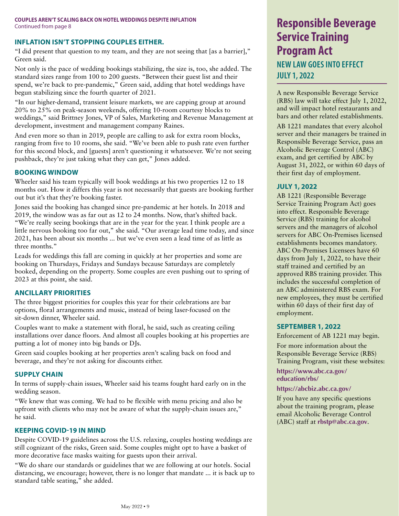#### **INFLATION ISN'T STOPPING COUPLES EITHER.**

"I did present that question to my team, and they are not seeing that [as a barrier]," Green said.

Not only is the pace of wedding bookings stabilizing, the size is, too, she added. The standard sizes range from 100 to 200 guests. "Between their guest list and their spend, we're back to pre-pandemic," Green said, adding that hotel weddings have begun stabilizing since the fourth quarter of 2021.

"In our higher-demand, transient leisure markets, we are capping group at around 20% to 25% on peak-season weekends, offering 10-room courtesy blocks to weddings," said Brittney Jones, VP of Sales, Marketing and Revenue Management at development, investment and management company Raines.

And even more so than in 2019, people are calling to ask for extra room blocks, ranging from five to 10 rooms, she said. "We've been able to push rate even further for this second block, and [guests] aren't questioning it whatsoever. We're not seeing pushback, they're just taking what they can get," Jones added.

#### **BOOKING WINDOW**

Wheeler said his team typically will book weddings at his two properties 12 to 18 months out. How it differs this year is not necessarily that guests are booking further out but it's that they're booking faster.

Jones said the booking has changed since pre-pandemic at her hotels. In 2018 and 2019, the window was as far out as 12 to 24 months. Now, that's shifted back. "We're really seeing bookings that are in the year for the year. I think people are a little nervous booking too far out," she said. "Our average lead time today, and since 2021, has been about six months ... but we've even seen a lead time of as little as three months."

Leads for weddings this fall are coming in quickly at her properties and some are booking on Thursdays, Fridays and Sundays because Saturdays are completely booked, depending on the property. Some couples are even pushing out to spring of 2023 at this point, she said.

#### **ANCILLARY PRIORITIES**

The three biggest priorities for couples this year for their celebrations are bar options, floral arrangements and music, instead of being laser-focused on the sit-down dinner, Wheeler said.

Couples want to make a statement with floral, he said, such as creating ceiling installations over dance floors. And almost all couples booking at his properties are putting a lot of money into big bands or DJs.

Green said couples booking at her properties aren't scaling back on food and beverage, and they're not asking for discounts either.

#### **SUPPLY CHAIN**

In terms of supply-chain issues, Wheeler said his teams fought hard early on in the wedding season.

"We knew that was coming. We had to be flexible with menu pricing and also be upfront with clients who may not be aware of what the supply-chain issues are," he said.

#### **KEEPING COVID-19 IN MIND**

Despite COVID-19 guidelines across the U.S. relaxing, couples hosting weddings are still cognizant of the risks, Green said. Some couples might opt to have a basket of more decorative face masks waiting for guests upon their arrival.

"We do share our standards or guidelines that we are following at our hotels. Social distancing, we encourage; however, there is no longer that mandate ... it is back up to standard table seating," she added.

### **Service Training Program Act NEW LAW GOES INTO EFFECT JULY 1, 2022**

A new Responsible Beverage Service (RBS) law will take effect July 1, 2022, and will impact hotel restaurants and bars and other related establishments.

AB 1221 mandates that every alcohol server and their managers be trained in Responsible Beverage Service, pass an Alcoholic Beverage Control (ABC) exam, and get certified by ABC by August 31, 2022, or within 60 days of their first day of employment.

#### **JULY 1, 2022**

AB 1221 (Responsible Beverage Service Training Program Act) goes into effect. Responsible Beverage Service (RBS) training for alcohol servers and the managers of alcohol servers for ABC On-Premises licensed establishments becomes mandatory. ABC On-Premises Licensees have 60 days from July 1, 2022, to have their staff trained and certified by an approved RBS training provider. This includes the successful completion of an ABC administered RBS exam. For new employees, they must be certified within 60 days of their first day of employment.

#### **SEPTEMBER 1, 2022**

Enforcement of AB 1221 may begin. For more information about the Responsible Beverage Service (RBS) Training Program, visit these websites:

**[https://www.abc.ca.gov/](https://www.abc.ca.gov/
education/rbs/) [education/rbs/](https://www.abc.ca.gov/
education/rbs/)**

#### **<https://abcbiz.abc.ca.gov/>**

If you have any specific questions about the training program, please email Alcoholic Beverage Control (ABC) staff at **[rbstp@abc.ca.gov](mailto:rbstp@abc.ca.gov)**.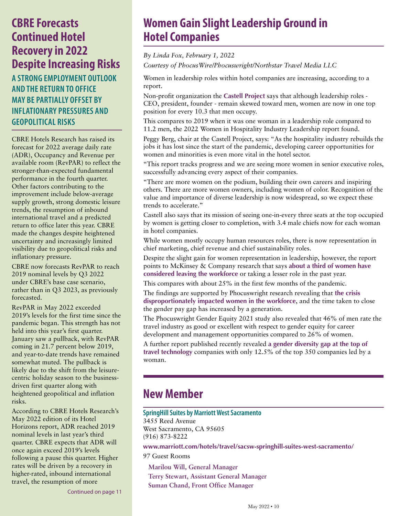### **CBRE Forecasts Continued Hotel Recovery in 2022 Despite Increasing Risks**

**A STRONG EMPLOYMENT OUTLOOK AND THE RETURN TO OFFICE MAY BE PARTIALLY OFFSET BY INFLATIONARY PRESSURES AND GEOPOLITICAL RISKS**

CBRE Hotels Research has raised its forecast for 2022 average daily rate (ADR), Occupancy and Revenue per available room (RevPAR) to reflect the stronger-than-expected fundamental performance in the fourth quarter. Other factors contributing to the improvement include below-average supply growth, strong domestic leisure trends, the resumption of inbound international travel and a predicted return to office later this year. CBRE made the changes despite heightened uncertainty and increasingly limited visibility due to geopolitical risks and inflationary pressure.

CBRE now forecasts RevPAR to reach 2019 nominal levels by Q3 2022 under CBRE's base case scenario, rather than in Q3 2023, as previously forecasted.

RevPAR in May 2022 exceeded 2019's levels for the first time since the pandemic began. This strength has not held into this year's first quarter. January saw a pullback, with RevPAR coming in 21.7 percent below 2019, and year-to-date trends have remained somewhat muted. The pullback is likely due to the shift from the leisurecentric holiday season to the businessdriven first quarter along with heightened geopolitical and inflation risks.

According to CBRE Hotels Research's May 2022 edition of its Hotel Horizons report, ADR reached 2019 nominal levels in last year's third quarter. CBRE expects that ADR will once again exceed 2019's levels following a pause this quarter. Higher rates will be driven by a recovery in higher-rated, inbound international travel, the resumption of more

Continued on page 11

### **Women Gain Slight Leadership Ground in Hotel Companies**

*By Linda Fox, February 1, 2022*

*Courtesy of PhocusWire/Phocuswright/Northstar Travel Media LLC*

Women in leadership roles within hotel companies are increasing, according to a report.

Non-profit organization the **[Castell Project](https://www.castellproject.org/castell-research)** says that although leadership roles - CEO, president, founder - remain skewed toward men, women are now in one top position for every 10.3 that men occupy.

This compares to 2019 when it was one woman in a leadership role compared to 11.2 men, the 2022 Women in Hospitality Industry Leadership report found.

Peggy Berg, chair at the Castell Project, says: "As the hospitality industry rebuilds the jobs it has lost since the start of the pandemic, developing career opportunities for women and minorities is even more vital in the hotel sector.

"This report tracks progress and we are seeing more women in senior executive roles, successfully advancing every aspect of their companies.

"There are more women on the podium, building their own careers and inspiring others. There are more women owners, including women of color. Recognition of the value and importance of diverse leadership is now widespread, so we expect these trends to accelerate."

Castell also says that its mission of seeing one-in-every three seats at the top occupied by women is getting closer to completion, with 3.4 male chiefs now for each woman in hotel companies.

While women mostly occupy human resources roles, there is now representation in chief marketing, chief revenue and chief sustainability roles.

Despite the slight gain for women representation in leadership, however, the report points to McKinsey & Company research that says **[about a third of women have](https://www.phocuswire.com/women-leaders-experiencing-burnout-work-going-unrecognized)  [considered leaving the workforce](https://www.phocuswire.com/women-leaders-experiencing-burnout-work-going-unrecognized)** or taking a lesser role in the past year.

This compares with about 25% in the first few months of the pandemic.

The findings are supported by Phocuswright research revealing that **[the crisis](https://www.phocuswire.com/travel-organizations-falling-behind-on-diversity-and-leadership-initiatives)  [disproportionately impacted women in the workforce](https://www.phocuswire.com/travel-organizations-falling-behind-on-diversity-and-leadership-initiatives)**, and the time taken to close the gender pay gap has increased by a generation.

The Phocuswright Gender Equity 2021 study also revealed that 46% of men rate the travel industry as good or excellent with respect to gender equity for career development and management opportunities compared to 26% of women.

A further report published recently revealed **[a gender diversity gap at the top of](https://www.phocuswire.com/Report-reveals-poor-gender-diversity-top-travel-technology)  [travel technology](https://www.phocuswire.com/Report-reveals-poor-gender-diversity-top-travel-technology)** companies with only 12.5% of the top 350 companies led by a woman.

### **New Member**

#### **SpringHill Suites by Marriott West Sacramento**

3455 Reed Avenue West Sacramento, CA 95605 (916) 873-8222

**[www.marriott.com/hotels/travel/sacsw-springhill-suites-west-sacramento/](https://www.marriott.com/hotels/travel/sacsw-springhill-suites-west-sacramento/)**

97 Guest Rooms

**Marilou Will, General Manager Terry Stewart, Assistant General Manager Suman Chand, Front Office Manager**